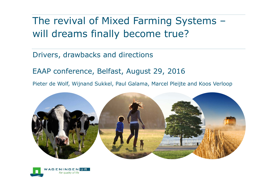### The revival of Mixed Farming Systems – will dreams finally become true?

#### Drivers, drawbacks and directions

EAAP conference, Belfast, August 29, 2016

Pieter de Wolf, Wijnand Sukkel, Paul Galama, Marcel Pleijte and Koos Verloop



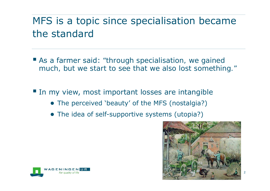# MFS is a topic since specialisation became the standard

 As a farmer said: *"through specialisation, we gained much, but we start to see that we also lost something."*

In my view, most important losses are intangible

- The perceived 'beauty' of the MFS (nostalgia?)
- The idea of self-supportive systems (utopia?)



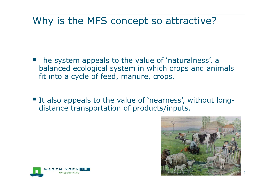#### Why is the MFS concept so attractive?

- **The system appeals to the value of 'naturalness', a** balanced ecological system in which crops and animals fit into a cycle of feed, manure, crops.
- It also appeals to the value of 'nearness', without longdistance transportation of products/inputs.



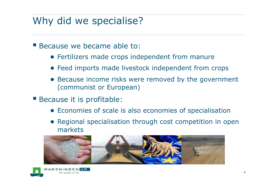#### Why did we specialise?

- Because we became able to:
	- Fertilizers made crops independent from manure
	- Feed imports made livestock independent from crops
	- ● Because income risks were removed by the government (communist or European)
- **Because it is profitable:** 
	- Economies of scale is also economies of specialisation
	- Regional specialisation through cost competition in open markets



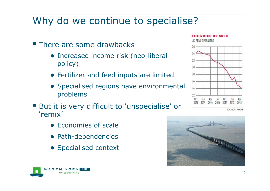#### Why do we continue to specialise?

- **There are some drawbacks** 
	- Increased income risk (neo-liberal policy)
	- Fertilizer and feed inputs are limited
	- Specialised regions have environmental problems
- **But it is very difficult to 'unspecialise' or** 'remix'
	- Economies of scale
	- Path-dependencies
	- Specialised context



 $22$ 



THE PRICE OF MILK

UK. PENCE PER LITRE

**SOURCE: AHDB** 

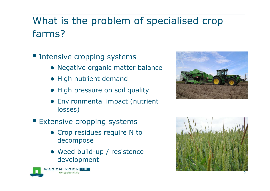## What is the problem of specialised crop farms?

- **Intensive cropping systems** 
	- Negative organic matter balance
	- High nutrient demand
	- High pressure on soil quality
	- ● Environmental impact (nutrient losses)
- **Extensive cropping systems** 
	- Crop residues require N to decompose
	- Weed build-up / resistence development





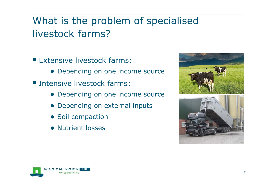# What is the problem of specialised livestock farms?

- **Extensive livestock farms:** 
	- Depending on one income source
- **Intensive livestock farms:** 
	- Depending on one income source
	- Depending on external inputs
	- Soil compaction
	- Nutrient losses





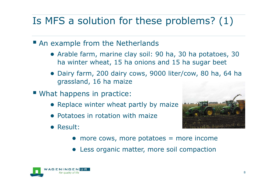# Is MFS a solution for these problems? (1)

- An example from the Netherlands
	- Arable farm, marine clay soil: 90 ha, 30 ha potatoes, 30 ha winter wheat, 15 ha onions and 15 ha sugar beet
	- ● Dairy farm, 200 dairy cows, 9000 liter/cow, 80 ha, 64 ha grassland, 16 ha maize
- What happens in practice:
	- Replace winter wheat partly by maize
	- Potatoes in rotation with maize
	- Result:
- 
- more cows, more potatoes = more income
- ●Less organic matter, more soil compaction

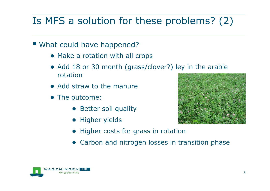# Is MFS a solution for these problems? (2)

- What could have happened?
	- Make a rotation with all crops
	- Add 18 or 30 month (grass/clover?) ley in the arable rotation
	- Add straw to the manure
	- The outcome:
		- Better soil quality
		- Higher yields



- Higher costs for grass in rotation
- Carbon and nitrogen losses in transition phase

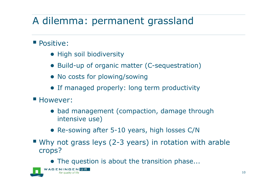### A dilemma: permanent grassland

#### **Positive:**

- High soil biodiversity
- Build-up of organic matter (C-sequestration)
- No costs for plowing/sowing
- If managed properly: long term productivity
- **However:** 
	- bad management (compaction, damage through intensive use)
	- Re-sowing after 5-10 years, high losses C/N
- Why not grass leys (2-3 years) in rotation with arable crops?
	- The question is about the transition phase...

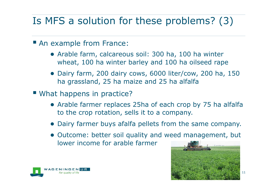# Is MFS a solution for these problems? (3)

- An example from France:
	- Arable farm, calcareous soil: 300 ha, 100 ha winter wheat, 100 ha winter barley and 100 ha oilseed rape
	- Dairy farm, 200 dairy cows, 6000 liter/cow, 200 ha, 150 ha grassland, 25 ha maize and 25 ha alfalfa
- What happens in practice?
	- Arable farmer replaces 25ha of each crop by 75 ha alfalfa to the crop rotation, sells it to a company.
	- Dairy farmer buys afalfa pellets from the same company.
	- Outcome: better soil quality and weed management, but lower income for arable farmer



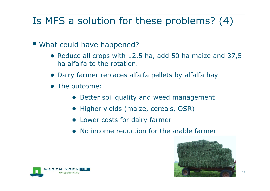# Is MFS a solution for these problems? (4)

- What could have happened?
	- Reduce all crops with 12,5 ha, add 50 ha maize and 37,5 ha alfalfa to the rotation.
	- Dairy farmer replaces alfalfa pellets by alfalfa hay
	- The outcome:
		- Better soil quality and weed management
		- Higher yields (maize, cereals, OSR)
		- Lower costs for dairy farmer
		- No income reduction for the arable farmer



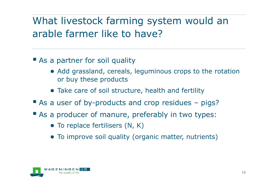# What livestock farming system would an arable farmer like to have?

- **As a partner for soil quality** 
	- Add grassland, cereals, leguminous crops to the rotation or buy these products
	- Take care of soil structure, health and fertility
- As a user of by-products and crop residues pigs?
- As a producer of manure, preferably in two types:
	- To replace fertilisers (N, K)
	- To improve soil quality (organic matter, nutrients)

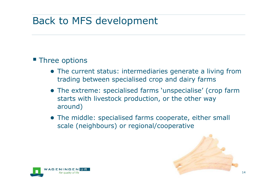#### Back to MFS development

#### **Three options**

- The current status: intermediaries generate a living from trading between specialised crop and dairy farms
- The extreme: specialised farms 'unspecialise' (crop farm starts with livestock production, or the other way around)
- The middle: specialised farms cooperate, either small scale (neighbours) or regional/cooperative



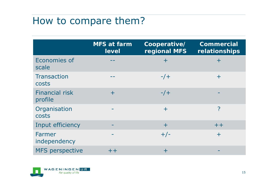#### How to compare them?

|                                  | <b>MFS at farm</b><br>level | Cooperative/<br>regional MFS | <b>Commercial</b><br>relationships |
|----------------------------------|-----------------------------|------------------------------|------------------------------------|
| Economies of<br>scale            |                             | $\pm$                        | $\pm$                              |
| <b>Transaction</b><br>costs      |                             | $-/+$                        | $\pm$                              |
| <b>Financial risk</b><br>profile | $\pm$                       | $-/+$                        |                                    |
| Organisation<br>costs            |                             | $\pm$                        | ?                                  |
| Input efficiency                 |                             | $\pm$                        | $++$                               |
| Farmer<br>independency           |                             | $+/-$                        | $\pm$                              |
| <b>MFS</b> perspective           | $++$                        | $\pm$                        |                                    |

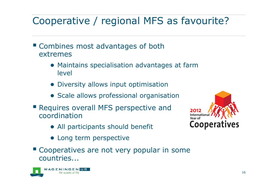### Cooperative / regional MFS as favourite?

- **Example Combines most advantages of both** extremes
	- Maintains specialisation advantages at farm level
	- Diversity allows input optimisation
	- Scale allows professional organisation
- **Requires overall MFS perspective and** coordination
	- All participants should benefit
	- Long term perspective
- **Cooperatives are not very popular in some** countries...



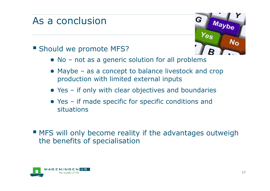#### As a conclusion

# G Maybe  $N_{\rm O}$

#### **Should we promote MFS?**

- No not as a generic solution for all problems
- Maybe as a concept to balance livestock and crop production with limited external inputs
- Yes if only with clear objectives and boundaries
- Yes if made specific for specific conditions and situations
- **MFS** will only become reality if the advantages outweigh the benefits of specialisation